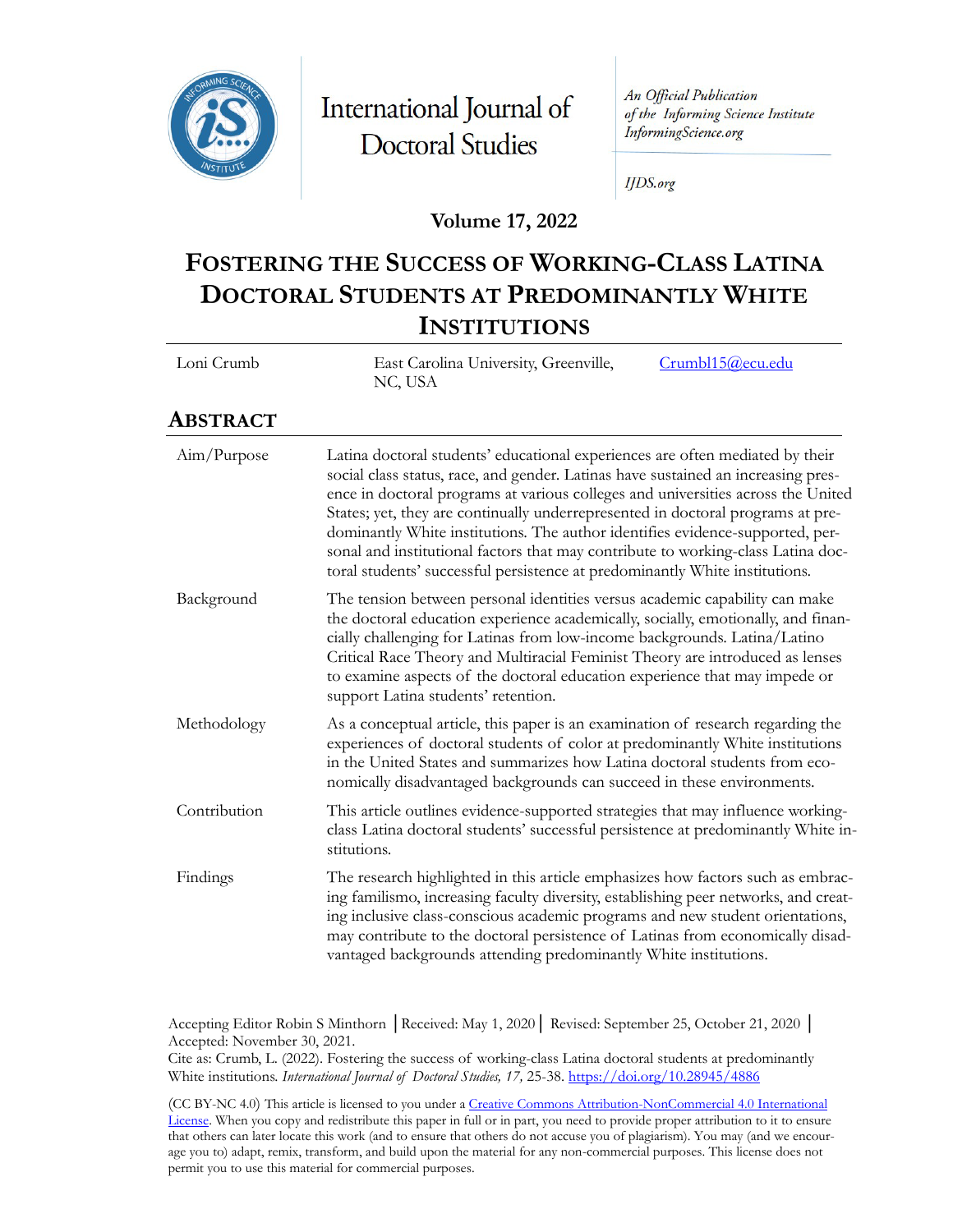

International Journal of **Doctoral Studies** 

An Official Publication of the Informing Science Institute InformingScience.org

**IJDS.org** 

#### **Volume 17, 2022**

# **FOSTERING THE SUCCESS OF WORKING-CLASS LATINA DOCTORAL STUDENTS AT PREDOMINANTLY WHITE INSTITUTIONS**

| Loni Crumb | East Carolina University, Greenville, | Crumbl15@ecu.edu |
|------------|---------------------------------------|------------------|
|            | NC, USA                               |                  |

#### **ABSTRACT**

| Aim/Purpose  | Latina doctoral students' educational experiences are often mediated by their<br>social class status, race, and gender. Latinas have sustained an increasing pres-<br>ence in doctoral programs at various colleges and universities across the United<br>States; yet, they are continually underrepresented in doctoral programs at pre-<br>dominantly White institutions. The author identifies evidence-supported, per-<br>sonal and institutional factors that may contribute to working-class Latina doc-<br>toral students' successful persistence at predominantly White institutions. |
|--------------|-----------------------------------------------------------------------------------------------------------------------------------------------------------------------------------------------------------------------------------------------------------------------------------------------------------------------------------------------------------------------------------------------------------------------------------------------------------------------------------------------------------------------------------------------------------------------------------------------|
| Background   | The tension between personal identities versus academic capability can make<br>the doctoral education experience academically, socially, emotionally, and finan-<br>cially challenging for Latinas from low-income backgrounds. Latina/Latino<br>Critical Race Theory and Multiracial Feminist Theory are introduced as lenses<br>to examine aspects of the doctoral education experience that may impede or<br>support Latina students' retention.                                                                                                                                           |
| Methodology  | As a conceptual article, this paper is an examination of research regarding the<br>experiences of doctoral students of color at predominantly White institutions<br>in the United States and summarizes how Latina doctoral students from eco-<br>nomically disadvantaged backgrounds can succeed in these environments.                                                                                                                                                                                                                                                                      |
| Contribution | This article outlines evidence-supported strategies that may influence working-<br>class Latina doctoral students' successful persistence at predominantly White in-<br>stitutions.                                                                                                                                                                                                                                                                                                                                                                                                           |
| Findings     | The research highlighted in this article emphasizes how factors such as embrac-<br>ing familismo, increasing faculty diversity, establishing peer networks, and creat-<br>ing inclusive class-conscious academic programs and new student orientations,<br>may contribute to the doctoral persistence of Latinas from economically disad-<br>vantaged backgrounds attending predominantly White institutions.                                                                                                                                                                                 |

Accepting Editor Robin S Minthorn │Received: May 1, 2020│ Revised: September 25, October 21, 2020 │ Accepted: November 30, 2021.

Cite as: Crumb, L. (2022). Fostering the success of working-class Latina doctoral students at predominantly White institutions. *International Journal of Doctoral Studies, 17,* 25-38. <https://doi.org/10.28945/4886>

(CC BY-NC 4.0) This article is licensed to you under a Creative Commons Attribution-[NonCommercial 4.0 International](https://creativecommons.org/licenses/by-nc/4.0/)  L[icense.](https://creativecommons.org/licenses/by-nc/4.0/) When you copy and redistribute this paper in full or in part, you need to provide proper attribution to it to ensure that others can later locate this work (and to ensure that others do not accuse you of plagiarism). You may (and we encourage you to) adapt, remix, transform, and build upon the material for any non-commercial purposes. This license does not permit you to use this material for commercial purposes.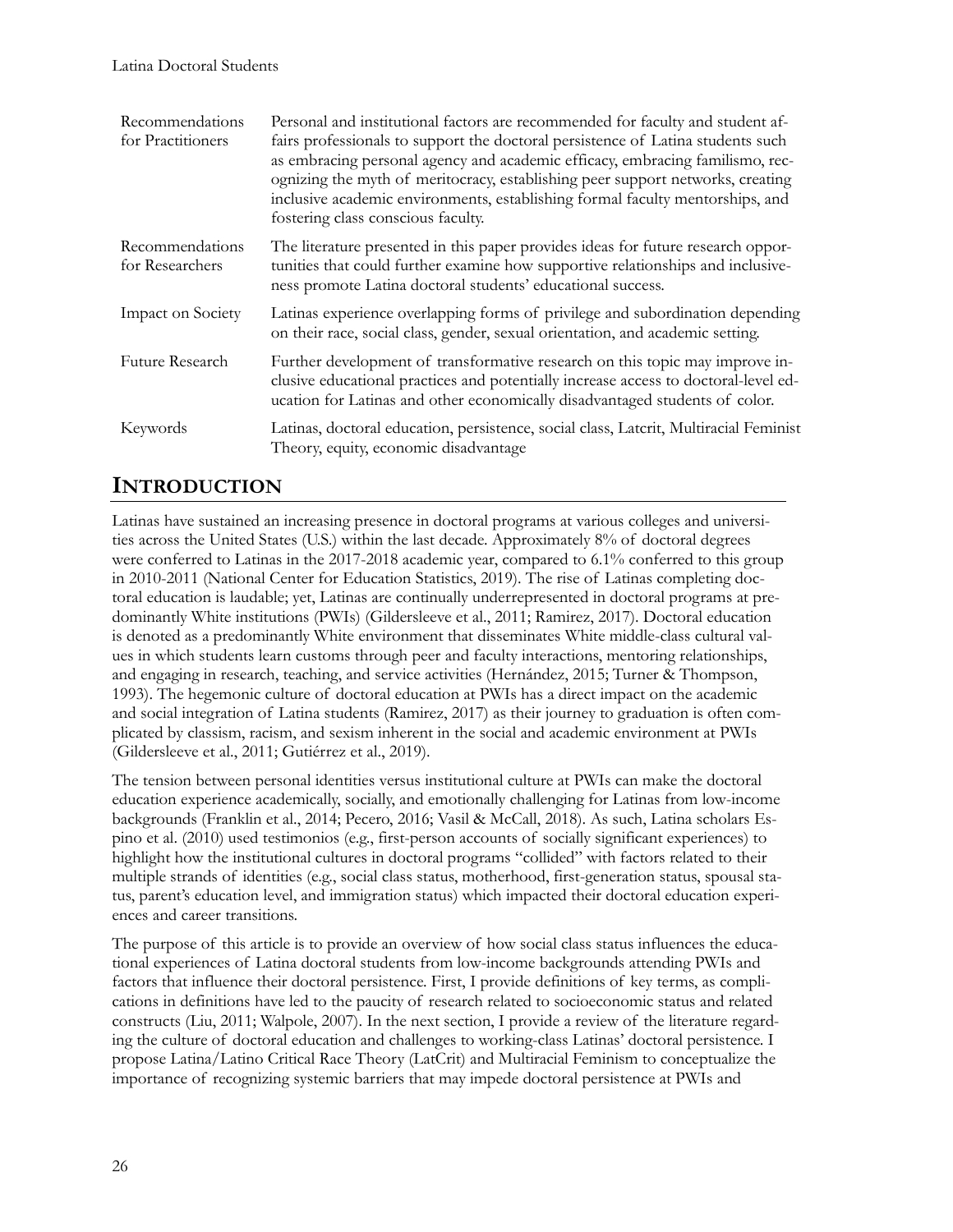| Recommendations<br>for Practitioners | Personal and institutional factors are recommended for faculty and student af-<br>fairs professionals to support the doctoral persistence of Latina students such<br>as embracing personal agency and academic efficacy, embracing familismo, rec-<br>ognizing the myth of meritocracy, establishing peer support networks, creating<br>inclusive academic environments, establishing formal faculty mentorships, and<br>fostering class conscious faculty. |
|--------------------------------------|-------------------------------------------------------------------------------------------------------------------------------------------------------------------------------------------------------------------------------------------------------------------------------------------------------------------------------------------------------------------------------------------------------------------------------------------------------------|
| Recommendations<br>for Researchers   | The literature presented in this paper provides ideas for future research oppor-<br>tunities that could further examine how supportive relationships and inclusive-<br>ness promote Latina doctoral students' educational success.                                                                                                                                                                                                                          |
| Impact on Society                    | Latinas experience overlapping forms of privilege and subordination depending<br>on their race, social class, gender, sexual orientation, and academic setting.                                                                                                                                                                                                                                                                                             |
| Future Research                      | Further development of transformative research on this topic may improve in-<br>clusive educational practices and potentially increase access to doctoral-level ed-<br>ucation for Latinas and other economically disadvantaged students of color.                                                                                                                                                                                                          |
| Keywords                             | Latinas, doctoral education, persistence, social class, Laterit, Multiracial Feminist<br>Theory, equity, economic disadvantage                                                                                                                                                                                                                                                                                                                              |

## **INTRODUCTION**

Latinas have sustained an increasing presence in doctoral programs at various colleges and universities across the United States (U.S.) within the last decade. Approximately 8% of doctoral degrees were conferred to Latinas in the 2017-2018 academic year, compared to 6.1% conferred to this group in 2010-2011 (National Center for Education Statistics, 2019). The rise of Latinas completing doctoral education is laudable; yet, Latinas are continually underrepresented in doctoral programs at predominantly White institutions (PWIs) (Gildersleeve et al., 2011; Ramirez, 2017). Doctoral education is denoted as a predominantly White environment that disseminates White middle-class cultural values in which students learn customs through peer and faculty interactions, mentoring relationships, and engaging in research, teaching, and service activities [\(Hernández,](https://www.tandfonline.com/author/Hern%C3%A1ndez%2C+Estee) 2015; Turner & Thompson, 1993). The hegemonic culture of doctoral education at PWIs has a direct impact on the academic and social integration of Latina students (Ramirez, 2017) as their journey to graduation is often complicated by classism, racism, and sexism inherent in the social and academic environment at PWIs (Gildersleeve et al., 2011; Gutiérrez et al., 2019).

The tension between personal identities versus institutional culture at PWIs can make the doctoral education experience academically, socially, and emotionally challenging for Latinas from low-income backgrounds (Franklin et al., 2014; Pecero, 2016; Vasil & McCall, 2018). As such, Latina scholars Espino et al. (2010) used testimonios (e.g., first-person accounts of socially significant experiences) to highlight how the institutional cultures in doctoral programs "collided" with factors related to their multiple strands of identities (e.g., social class status, motherhood, first-generation status, spousal status, parent's education level, and immigration status) which impacted their doctoral education experiences and career transitions.

The purpose of this article is to provide an overview of how social class status influences the educational experiences of Latina doctoral students from low-income backgrounds attending PWIs and factors that influence their doctoral persistence. First, I provide definitions of key terms, as complications in definitions have led to the paucity of research related to socioeconomic status and related constructs (Liu, 2011; Walpole, 2007). In the next section, I provide a review of the literature regarding the culture of doctoral education and challenges to working-class Latinas' doctoral persistence. I propose Latina/Latino Critical Race Theory (LatCrit) and Multiracial Feminism to conceptualize the importance of recognizing systemic barriers that may impede doctoral persistence at PWIs and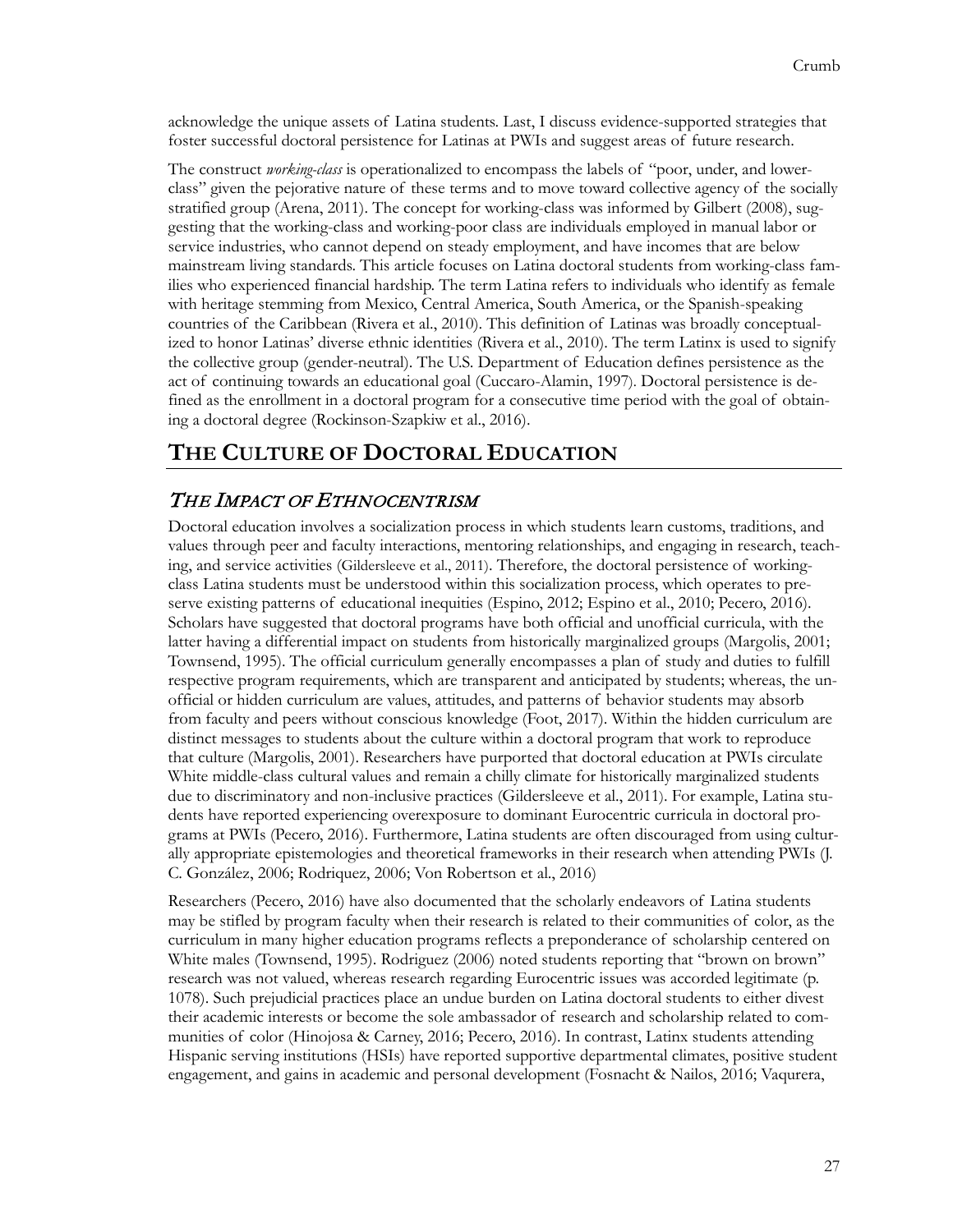acknowledge the unique assets of Latina students. Last, I discuss evidence-supported strategies that foster successful doctoral persistence for Latinas at PWIs and suggest areas of future research.

The construct *working-class* is operationalized to encompass the labels of "poor, under, and lowerclass" given the pejorative nature of these terms and to move toward collective agency of the socially stratified group (Arena, 2011). The concept for working-class was informed by Gilbert (2008), suggesting that the working-class and working-poor class are individuals employed in manual labor or service industries, who cannot depend on steady employment, and have incomes that are below mainstream living standards. This article focuses on Latina doctoral students from working-class families who experienced financial hardship. The term Latina refers to individuals who identify as female with heritage stemming from Mexico, Central America, South America, or the Spanish-speaking countries of the Caribbean (Rivera et al., 2010). This definition of Latinas was broadly conceptualized to honor Latinas' diverse ethnic identities (Rivera et al., 2010). The term Latinx is used to signify the collective group (gender-neutral). The U.S. Department of Education defines persistence as the act of continuing towards an educational goal (Cuccaro-Alamin, 1997). Doctoral persistence is defined as the enrollment in a doctoral program for a consecutive time period with the goal of obtaining a doctoral degree (Rockinson-Szapkiw et al., 2016).

## **THE CULTURE OF DOCTORAL EDUCATION**

### THE IMPACT OF ETHNOCENTRISM

Doctoral education involves a socialization process in which students learn customs, traditions, and values through peer and faculty interactions, mentoring relationships, and engaging in research, teaching, and service activities (Gildersleeve et al., 2011). Therefore, the doctoral persistence of workingclass Latina students must be understood within this socialization process, which operates to preserve existing patterns of educational inequities (Espino, 2012; Espino et al., 2010; Pecero, 2016). Scholars have suggested that doctoral programs have both official and unofficial curricula, with the latter having a differential impact on students from historically marginalized groups (Margolis, 2001; Townsend, 1995). The official curriculum generally encompasses a plan of study and duties to fulfill respective program requirements, which are transparent and anticipated by students; whereas, the unofficial or hidden curriculum are values, attitudes, and patterns of behavior students may absorb from faculty and peers without conscious knowledge (Foot, 2017). Within the hidden curriculum are distinct messages to students about the culture within a doctoral program that work to reproduce that culture (Margolis, 2001). Researchers have purported that doctoral education at PWIs circulate White middle-class cultural values and remain a chilly climate for historically marginalized students due to discriminatory and non-inclusive practices (Gildersleeve et al., 2011). For example, Latina students have reported experiencing overexposure to dominant Eurocentric curricula in doctoral programs at PWIs (Pecero, 2016). Furthermore, Latina students are often discouraged from using culturally appropriate epistemologies and theoretical frameworks in their research when attending PWIs (J. C. González, 2006; Rodriquez, 2006; Von Robertson et al., 2016)

Researchers (Pecero, 2016) have also documented that the scholarly endeavors of Latina students may be stifled by program faculty when their research is related to their communities of color, as the curriculum in many higher education programs reflects a preponderance of scholarship centered on White males (Townsend, 1995). Rodriguez (2006) noted students reporting that "brown on brown" research was not valued, whereas research regarding Eurocentric issues was accorded legitimate (p. 1078). Such prejudicial practices place an undue burden on Latina doctoral students to either divest their academic interests or become the sole ambassador of research and scholarship related to communities of color (Hinojosa & Carney, 2016; Pecero, 2016). In contrast, Latinx students attending Hispanic serving institutions (HSIs) have reported supportive departmental climates, positive student engagement, and gains in academic and personal development (Fosnacht & Nailos, 2016; Vaqurera,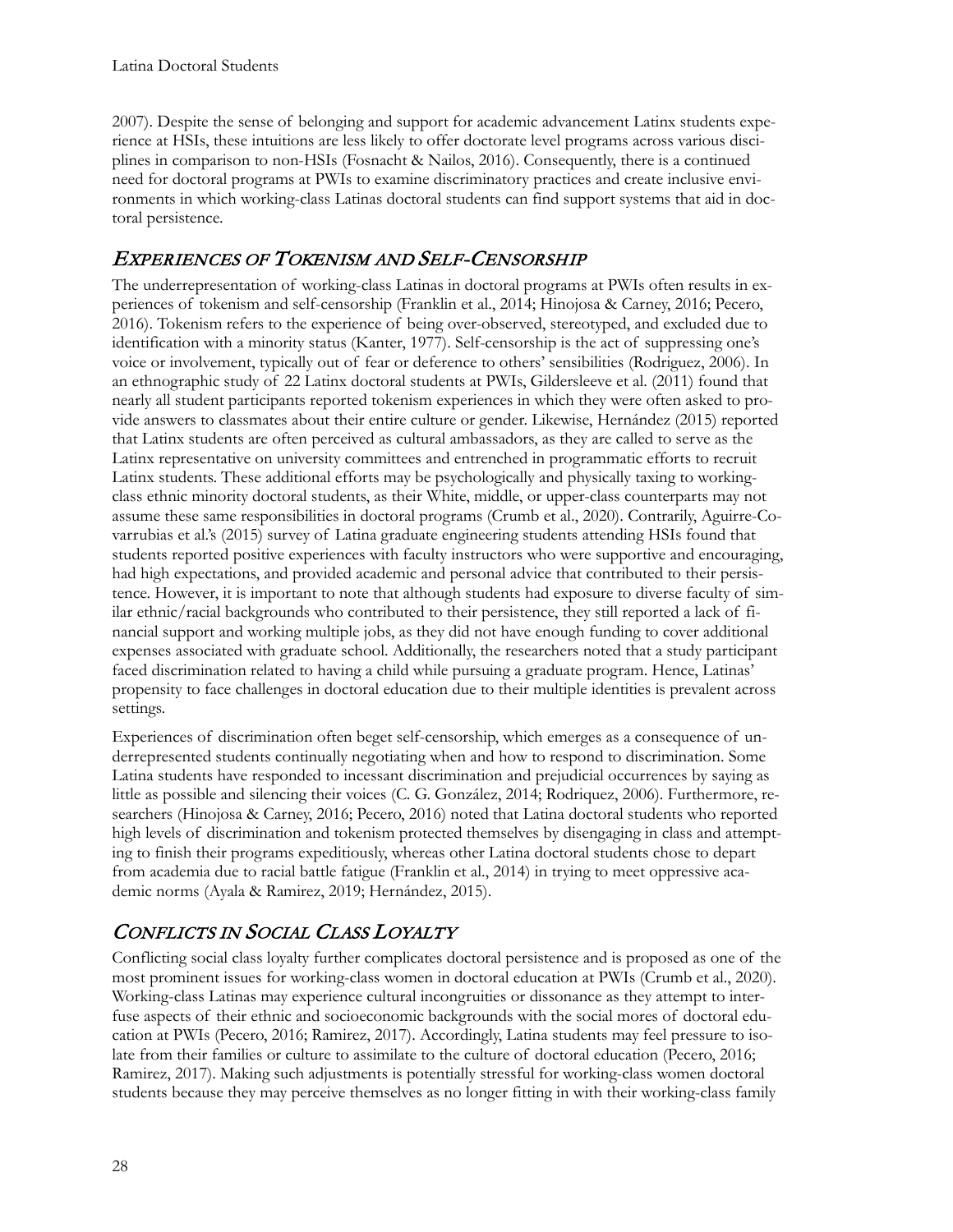2007). Despite the sense of belonging and support for academic advancement Latinx students experience at HSIs, these intuitions are less likely to offer doctorate level programs across various disciplines in comparison to non-HSIs (Fosnacht & Nailos, 2016). Consequently, there is a continued need for doctoral programs at PWIs to examine discriminatory practices and create inclusive environments in which working-class Latinas doctoral students can find support systems that aid in doctoral persistence.

### EXPERIENCES OF TOKENISM AND SELF-CENSORSHIP

The underrepresentation of working-class Latinas in doctoral programs at PWIs often results in experiences of tokenism and self-censorship (Franklin et al., 2014; Hinojosa & Carney, 2016; Pecero, 2016). Tokenism refers to the experience of being over-observed, stereotyped, and excluded due to identification with a minority status (Kanter, 1977). Self-censorship is the act of suppressing one's voice or involvement, typically out of fear or deference to others' sensibilities (Rodriguez, 2006). In an ethnographic study of 22 Latinx doctoral students at PWIs, Gildersleeve et al. (2011) found that nearly all student participants reported tokenism experiences in which they were often asked to provide answers to classmates about their entire culture or gender. Likewise, Hernández (2015) reported that Latinx students are often perceived as cultural ambassadors, as they are called to serve as the Latinx representative on university committees and entrenched in programmatic efforts to recruit Latinx students. These additional efforts may be psychologically and physically taxing to workingclass ethnic minority doctoral students, as their White, middle, or upper-class counterparts may not assume these same responsibilities in doctoral programs (Crumb et al., 2020). Contrarily, Aguirre-Covarrubias et al.'s (2015) survey of Latina graduate engineering students attending HSIs found that students reported positive experiences with faculty instructors who were supportive and encouraging, had high expectations, and provided academic and personal advice that contributed to their persistence. However, it is important to note that although students had exposure to diverse faculty of similar ethnic/racial backgrounds who contributed to their persistence, they still reported a lack of financial support and working multiple jobs, as they did not have enough funding to cover additional expenses associated with graduate school. Additionally, the researchers noted that a study participant faced discrimination related to having a child while pursuing a graduate program. Hence, Latinas' propensity to face challenges in doctoral education due to their multiple identities is prevalent across settings.

Experiences of discrimination often beget self-censorship, which emerges as a consequence of underrepresented students continually negotiating when and how to respond to discrimination. Some Latina students have responded to incessant discrimination and prejudicial occurrences by saying as little as possible and silencing their voices (C. G. González, 2014; Rodriquez, 2006). Furthermore, researchers (Hinojosa & Carney, 2016; Pecero, 2016) noted that Latina doctoral students who reported high levels of discrimination and tokenism protected themselves by disengaging in class and attempting to finish their programs expeditiously, whereas other Latina doctoral students chose to depart from academia due to racial battle fatigue (Franklin et al., 2014) in trying to meet oppressive academic norms (Ayala & Ramirez, 2019; Hernández, 2015).

### CONFLICTS IN SOCIAL CLASS LOYALTY

Conflicting social class loyalty further complicates doctoral persistence and is proposed as one of the most prominent issues for working-class women in doctoral education at PWIs (Crumb et al., 2020). Working-class Latinas may experience cultural incongruities or dissonance as they attempt to interfuse aspects of their ethnic and socioeconomic backgrounds with the social mores of doctoral education at PWIs (Pecero, 2016; Ramirez, 2017). Accordingly, Latina students may feel pressure to isolate from their families or culture to assimilate to the culture of doctoral education (Pecero, 2016; Ramirez, 2017). Making such adjustments is potentially stressful for working-class women doctoral students because they may perceive themselves as no longer fitting in with their working-class family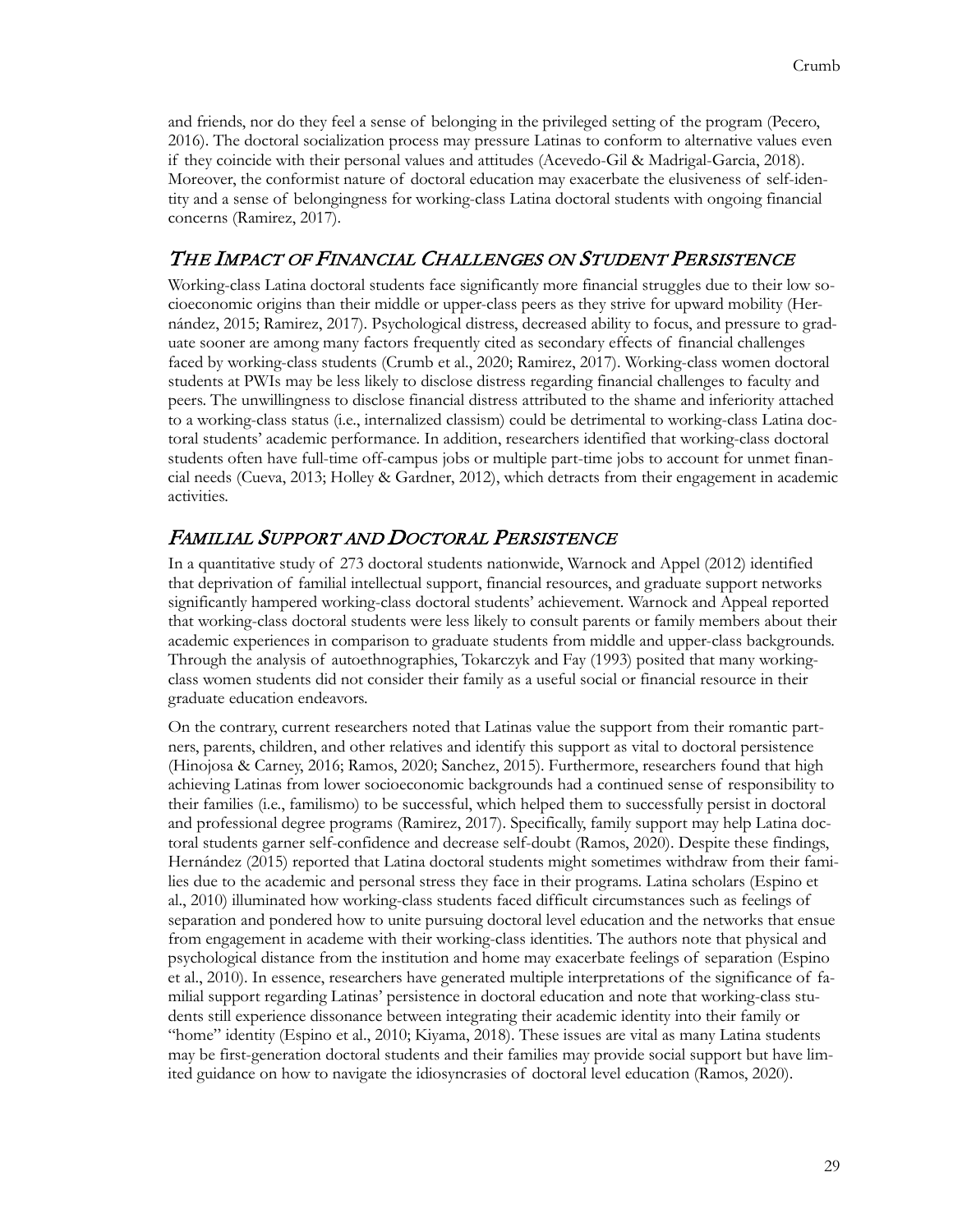and friends, nor do they feel a sense of belonging in the privileged setting of the program (Pecero, 2016). The doctoral socialization process may pressure Latinas to conform to alternative values even if they coincide with their personal values and attitudes (Acevedo-Gil & Madrigal-Garcia, 2018). Moreover, the conformist nature of doctoral education may exacerbate the elusiveness of self-identity and a sense of belongingness for working-class Latina doctoral students with ongoing financial concerns (Ramirez, 2017).

### THE IMPACT OF FINANCIAL CHALLENGES ON STUDENT PERSISTENCE

Working-class Latina doctoral students face significantly more financial struggles due to their low socioeconomic origins than their middle or upper-class peers as they strive for upward mobility (Hernández, 2015; Ramirez, 2017). Psychological distress, decreased ability to focus, and pressure to graduate sooner are among many factors frequently cited as secondary effects of financial challenges faced by working-class students (Crumb et al., 2020; Ramirez, 2017). Working-class women doctoral students at PWIs may be less likely to disclose distress regarding financial challenges to faculty and peers. The unwillingness to disclose financial distress attributed to the shame and inferiority attached to a working-class status (i.e., internalized classism) could be detrimental to working-class Latina doctoral students' academic performance. In addition, researchers identified that working-class doctoral students often have full-time off-campus jobs or multiple part-time jobs to account for unmet financial needs (Cueva, 2013; Holley & Gardner, 2012), which detracts from their engagement in academic activities.

### FAMILIAL SUPPORT AND DOCTORAL PERSISTENCE

In a quantitative study of 273 doctoral students nationwide, Warnock and Appel (2012) identified that deprivation of familial intellectual support, financial resources, and graduate support networks significantly hampered working-class doctoral students' achievement. Warnock and Appeal reported that working-class doctoral students were less likely to consult parents or family members about their academic experiences in comparison to graduate students from middle and upper-class backgrounds. Through the analysis of autoethnographies, Tokarczyk and Fay (1993) posited that many workingclass women students did not consider their family as a useful social or financial resource in their graduate education endeavors.

On the contrary, current researchers noted that Latinas value the support from their romantic partners, parents, children, and other relatives and identify this support as vital to doctoral persistence (Hinojosa & Carney, 2016; Ramos, 2020; Sanchez, 2015). Furthermore, researchers found that high achieving Latinas from lower socioeconomic backgrounds had a continued sense of responsibility to their families (i.e., familismo) to be successful, which helped them to successfully persist in doctoral and professional degree programs (Ramirez, 2017). Specifically, family support may help Latina doctoral students garner self-confidence and decrease self-doubt (Ramos, 2020). Despite these findings, [Hernández](https://www.tandfonline.com/author/Hern%C3%A1ndez%2C+Estee) (2015) reported that Latina doctoral students might sometimes withdraw from their families due to the academic and personal stress they face in their programs. Latina scholars (Espino et al., 2010) illuminated how working-class students faced difficult circumstances such as feelings of separation and pondered how to unite pursuing doctoral level education and the networks that ensue from engagement in academe with their working-class identities. The authors note that physical and psychological distance from the institution and home may exacerbate feelings of separation (Espino et al., 2010). In essence, researchers have generated multiple interpretations of the significance of familial support regarding Latinas' persistence in doctoral education and note that working-class students still experience dissonance between integrating their academic identity into their family or "home" identity (Espino et al., 2010; Kiyama, 2018). These issues are vital as many Latina students may be first-generation doctoral students and their families may provide social support but have limited guidance on how to navigate the idiosyncrasies of doctoral level education (Ramos, 2020).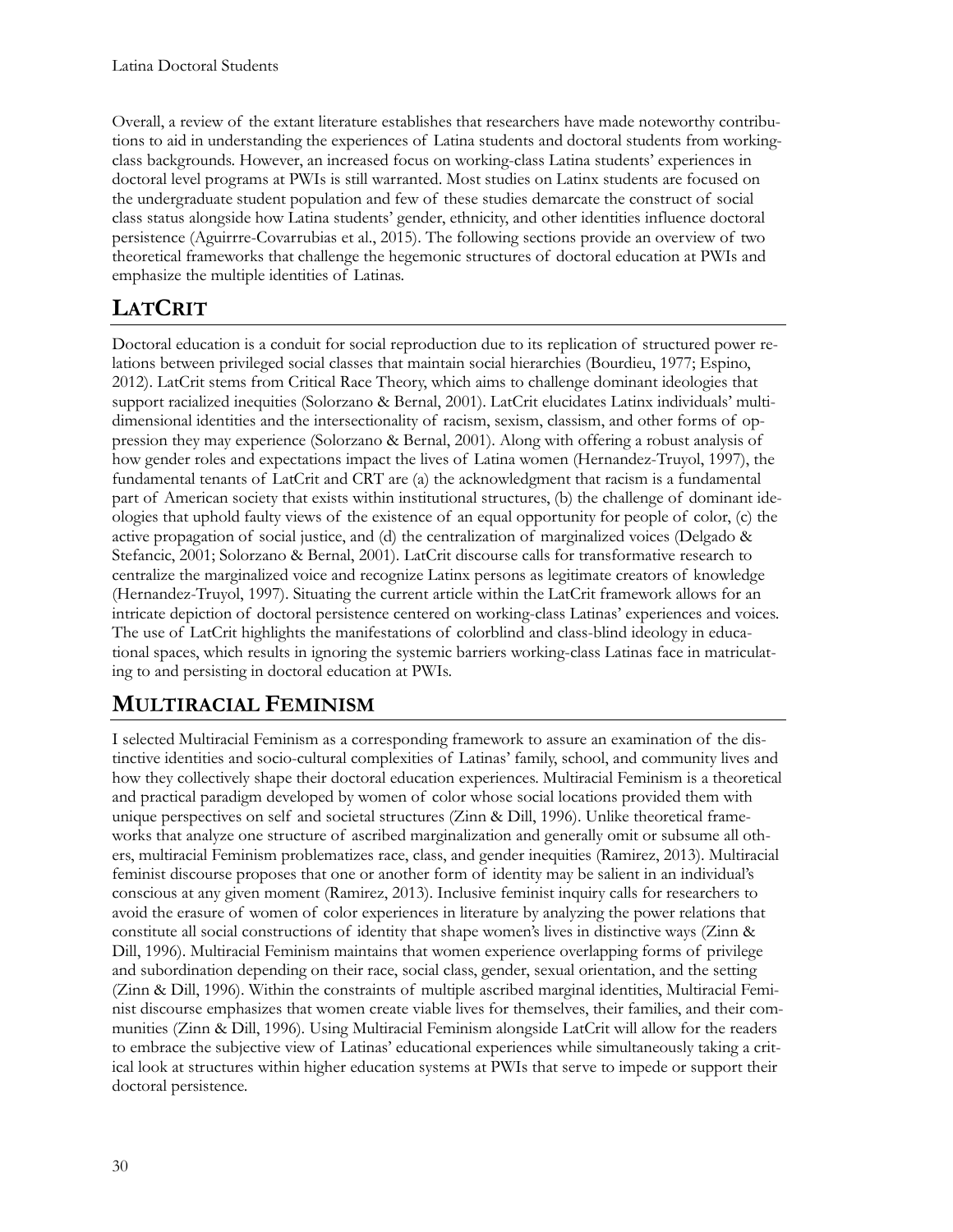Overall, a review of the extant literature establishes that researchers have made noteworthy contributions to aid in understanding the experiences of Latina students and doctoral students from workingclass backgrounds. However, an increased focus on working-class Latina students' experiences in doctoral level programs at PWIs is still warranted. Most studies on Latinx students are focused on the undergraduate student population and few of these studies demarcate the construct of social class status alongside how Latina students' gender, ethnicity, and other identities influence doctoral persistence (Aguirrre-Covarrubias et al., 2015). The following sections provide an overview of two theoretical frameworks that challenge the hegemonic structures of doctoral education at PWIs and emphasize the multiple identities of Latinas.

## **LATCRIT**

Doctoral education is a conduit for social reproduction due to its replication of structured power relations between privileged social classes that maintain social hierarchies (Bourdieu, 1977; Espino, 2012). LatCrit stems from Critical Race Theory, which aims to challenge dominant ideologies that support racialized inequities (Solorzano & Bernal, 2001). LatCrit elucidates Latinx individuals' multidimensional identities and the intersectionality of racism, sexism, classism, and other forms of oppression they may experience (Solorzano & Bernal, 2001). Along with offering a robust analysis of how gender roles and expectations impact the lives of Latina women (Hernandez-Truyol, 1997), the fundamental tenants of LatCrit and CRT are (a) the acknowledgment that racism is a fundamental part of American society that exists within institutional structures, (b) the challenge of dominant ideologies that uphold faulty views of the existence of an equal opportunity for people of color, (c) the active propagation of social justice, and (d) the centralization of marginalized voices (Delgado & Stefancic, 2001; Solorzano & Bernal, 2001). LatCrit discourse calls for transformative research to centralize the marginalized voice and recognize Latinx persons as legitimate creators of knowledge (Hernandez-Truyol, 1997). Situating the current article within the LatCrit framework allows for an intricate depiction of doctoral persistence centered on working-class Latinas' experiences and voices. The use of LatCrit highlights the manifestations of colorblind and class-blind ideology in educational spaces, which results in ignoring the systemic barriers working-class Latinas face in matriculating to and persisting in doctoral education at PWIs.

## **MULTIRACIAL FEMINISM**

I selected Multiracial Feminism as a corresponding framework to assure an examination of the distinctive identities and socio-cultural complexities of Latinas' family, school, and community lives and how they collectively shape their doctoral education experiences. Multiracial Feminism is a theoretical and practical paradigm developed by women of color whose social locations provided them with unique perspectives on self and societal structures (Zinn & Dill, 1996). Unlike theoretical frameworks that analyze one structure of ascribed marginalization and generally omit or subsume all others, multiracial Feminism problematizes race, class, and gender inequities (Ramirez, 2013). Multiracial feminist discourse proposes that one or another form of identity may be salient in an individual's conscious at any given moment (Ramirez, 2013). Inclusive feminist inquiry calls for researchers to avoid the erasure of women of color experiences in literature by analyzing the power relations that constitute all social constructions of identity that shape women's lives in distinctive ways (Zinn & Dill, 1996). Multiracial Feminism maintains that women experience overlapping forms of privilege and subordination depending on their race, social class, gender, sexual orientation, and the setting (Zinn & Dill, 1996). Within the constraints of multiple ascribed marginal identities, Multiracial Feminist discourse emphasizes that women create viable lives for themselves, their families, and their communities (Zinn & Dill, 1996). Using Multiracial Feminism alongside LatCrit will allow for the readers to embrace the subjective view of Latinas' educational experiences while simultaneously taking a critical look at structures within higher education systems at PWIs that serve to impede or support their doctoral persistence.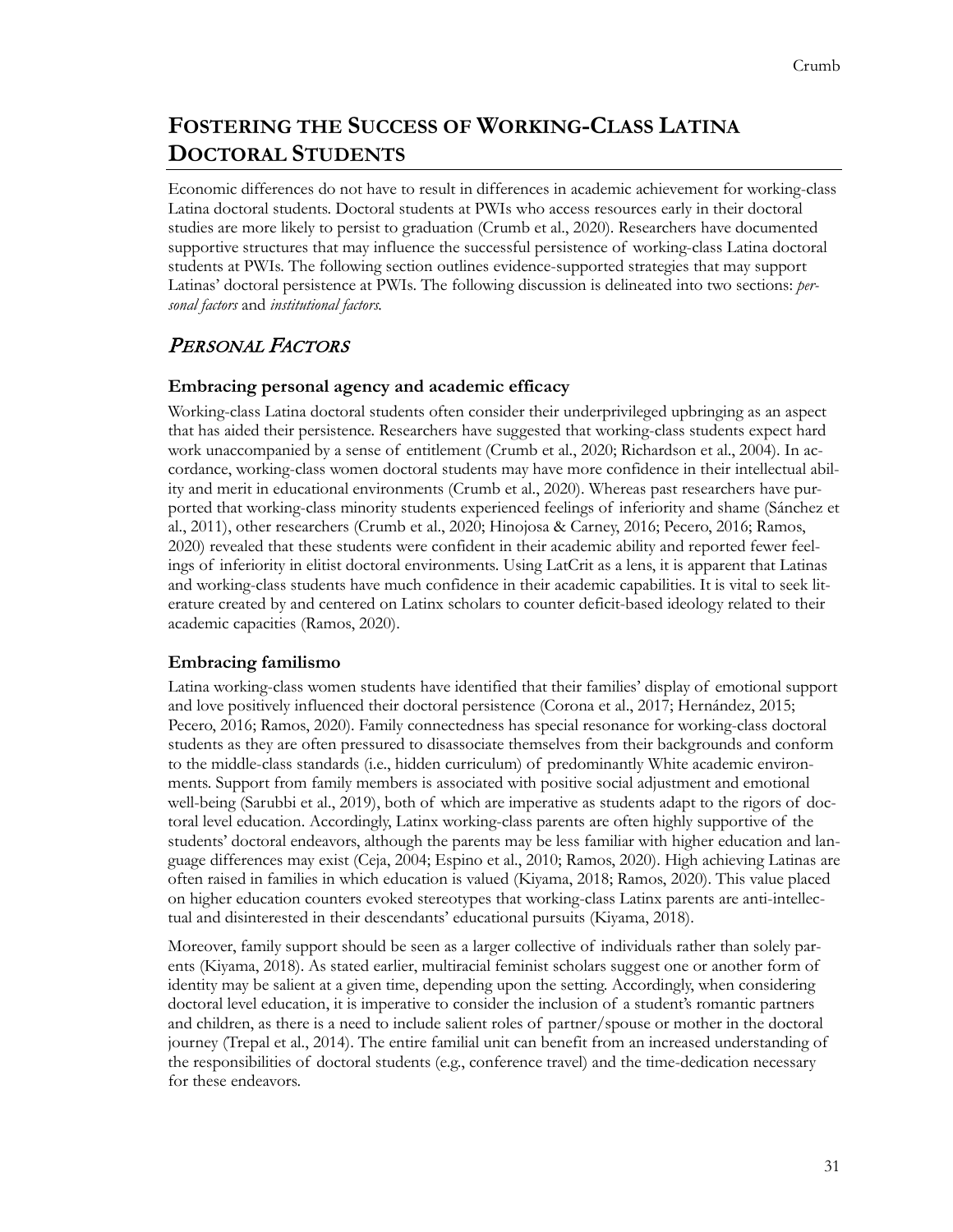## **FOSTERING THE SUCCESS OF WORKING-CLASS LATINA DOCTORAL STUDENTS**

Economic differences do not have to result in differences in academic achievement for working-class Latina doctoral students. Doctoral students at PWIs who access resources early in their doctoral studies are more likely to persist to graduation (Crumb et al., 2020). Researchers have documented supportive structures that may influence the successful persistence of working-class Latina doctoral students at PWIs. The following section outlines evidence-supported strategies that may support Latinas' doctoral persistence at PWIs. The following discussion is delineated into two sections: *personal factors* and *institutional factors.*

### PERSONAL FACTORS

#### **Embracing personal agency and academic efficacy**

Working-class Latina doctoral students often consider their underprivileged upbringing as an aspect that has aided their persistence. Researchers have suggested that working-class students expect hard work unaccompanied by a sense of entitlement (Crumb et al., 2020; Richardson et al., 2004). In accordance, working-class women doctoral students may have more confidence in their intellectual ability and merit in educational environments (Crumb et al., 2020). Whereas past researchers have purported that working-class minority students experienced feelings of inferiority and shame (Sánchez et al., 2011), other researchers (Crumb et al., 2020; Hinojosa & Carney, 2016; Pecero, 2016; Ramos, 2020) revealed that these students were confident in their academic ability and reported fewer feelings of inferiority in elitist doctoral environments. Using LatCrit as a lens, it is apparent that Latinas and working-class students have much confidence in their academic capabilities. It is vital to seek literature created by and centered on Latinx scholars to counter deficit-based ideology related to their academic capacities (Ramos, 2020).

#### **Embracing familismo**

Latina working-class women students have identified that their families' display of emotional support and love positively influenced their doctoral persistence (Corona et al., 2017; Hernández, 2015; Pecero, 2016; Ramos, 2020). Family connectedness has special resonance for working-class doctoral students as they are often pressured to disassociate themselves from their backgrounds and conform to the middle-class standards (i.e., hidden curriculum) of predominantly White academic environments. Support from family members is associated with positive social adjustment and emotional well-being (Sarubbi et al., 2019), both of which are imperative as students adapt to the rigors of doctoral level education. Accordingly, Latinx working-class parents are often highly supportive of the students' doctoral endeavors, although the parents may be less familiar with higher education and language differences may exist (Ceja, 2004; Espino et al., 2010; Ramos, 2020). High achieving Latinas are often raised in families in which education is valued (Kiyama, 2018; Ramos, 2020). This value placed on higher education counters evoked stereotypes that working-class Latinx parents are anti-intellectual and disinterested in their descendants' educational pursuits (Kiyama, 2018).

Moreover, family support should be seen as a larger collective of individuals rather than solely parents (Kiyama, 2018). As stated earlier, multiracial feminist scholars suggest one or another form of identity may be salient at a given time, depending upon the setting. Accordingly, when considering doctoral level education, it is imperative to consider the inclusion of a student's romantic partners and children, as there is a need to include salient roles of partner/spouse or mother in the doctoral journey (Trepal et al., 2014). The entire familial unit can benefit from an increased understanding of the responsibilities of doctoral students (e.g., conference travel) and the time-dedication necessary for these endeavors.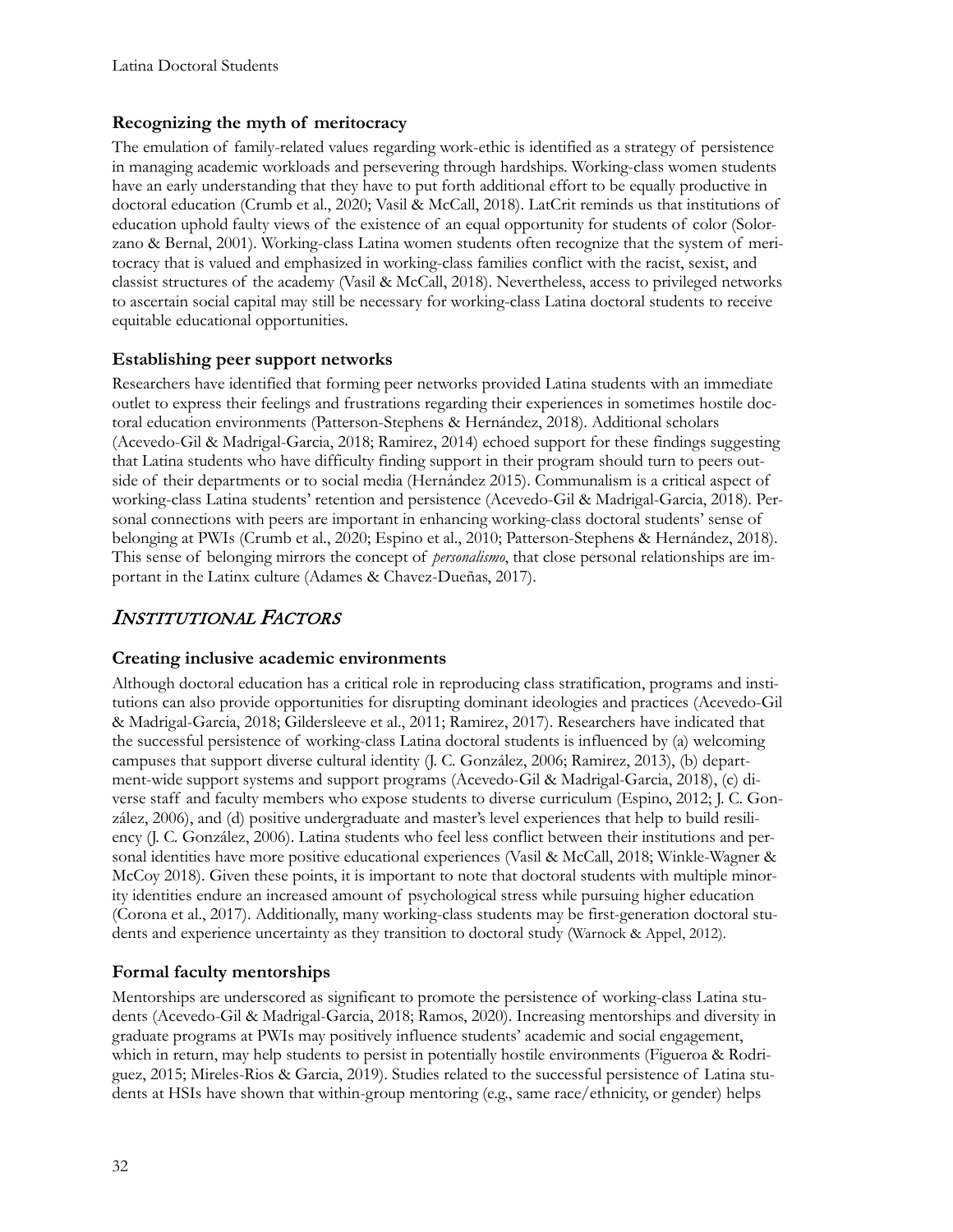#### **Recognizing the myth of meritocracy**

The emulation of family-related values regarding work-ethic is identified as a strategy of persistence in managing academic workloads and persevering through hardships. Working-class women students have an early understanding that they have to put forth additional effort to be equally productive in doctoral education (Crumb et al., 2020; Vasil & McCall, 2018). LatCrit reminds us that institutions of education uphold faulty views of the existence of an equal opportunity for students of color (Solorzano & Bernal, 2001). Working-class Latina women students often recognize that the system of meritocracy that is valued and emphasized in working-class families conflict with the racist, sexist, and classist structures of the academy (Vasil & McCall, 2018). Nevertheless, access to privileged networks to ascertain social capital may still be necessary for working-class Latina doctoral students to receive equitable educational opportunities.

#### **Establishing peer support networks**

Researchers have identified that forming peer networks provided Latina students with an immediate outlet to express their feelings and frustrations regarding their experiences in sometimes hostile doctoral education environments (Patterson-Stephens [& Hernández,](https://www.tandfonline.com/author/Hern%C3%A1ndez%2C+Estee) 2018). Additional scholars (Acevedo-Gil & Madrigal-Garcia, 2018; Ramirez, 2014) echoed support for these findings suggesting that Latina students who have difficulty finding support in their program should turn to peers outside of their departments or to social media [\(Hernández](https://www.tandfonline.com/author/Hern%C3%A1ndez%2C+Estee) 2015). Communalism is a critical aspect of working-class Latina students' retention and persistence (Acevedo-Gil & Madrigal-Garcia, 2018). Personal connections with peers are important in enhancing working-class doctoral students' sense of belonging at PWIs (Crumb et al., 2020; Espino et al., 2010; Patterson-Stephens & [Hernández](https://www.tandfonline.com/author/Hern%C3%A1ndez%2C+Estee), 2018). This sense of belonging mirrors the concept of *personalismo*, that close personal relationships are important in the Latinx culture (Adames & Chavez-Dueñas, 2017).

### INSTITUTIONAL FACTORS

#### **Creating inclusive academic environments**

Although doctoral education has a critical role in reproducing class stratification, programs and institutions can also provide opportunities for disrupting dominant ideologies and practices (Acevedo-Gil & Madrigal-Garcia, 2018; Gildersleeve et al., 2011; Ramirez, 2017). Researchers have indicated that the successful persistence of working-class Latina doctoral students is influenced by (a) welcoming campuses that support diverse cultural identity (J. C. González, 2006; Ramirez, 2013), (b) department-wide support systems and support programs (Acevedo-Gil & Madrigal-Garcia, 2018), (c) diverse staff and faculty members who expose students to diverse curriculum (Espino, 2012; J. C. González, 2006), and (d) positive undergraduate and master's level experiences that help to build resiliency (J. C. González, 2006). Latina students who feel less conflict between their institutions and personal identities have more positive educational experiences (Vasil & McCall, 2018; Winkle-Wagner & McCoy 2018). Given these points, it is important to note that doctoral students with multiple minority identities endure an increased amount of psychological stress while pursuing higher education (Corona et al., 2017). Additionally, many working-class students may be first-generation doctoral students and experience uncertainty as they transition to doctoral study (Warnock & Appel, 2012).

#### **Formal faculty mentorships**

Mentorships are underscored as significant to promote the persistence of working-class Latina students (Acevedo-Gil & Madrigal-Garcia, 2018; Ramos, 2020). Increasing mentorships and diversity in graduate programs at PWIs may positively influence students' academic and social engagement, which in return, may help students to persist in potentially hostile environments (Figueroa & Rodriguez, 2015; Mireles-Rios & Garcia, 2019). Studies related to the successful persistence of Latina students at HSIs have shown that within-group mentoring (e.g., same race/ethnicity, or gender) helps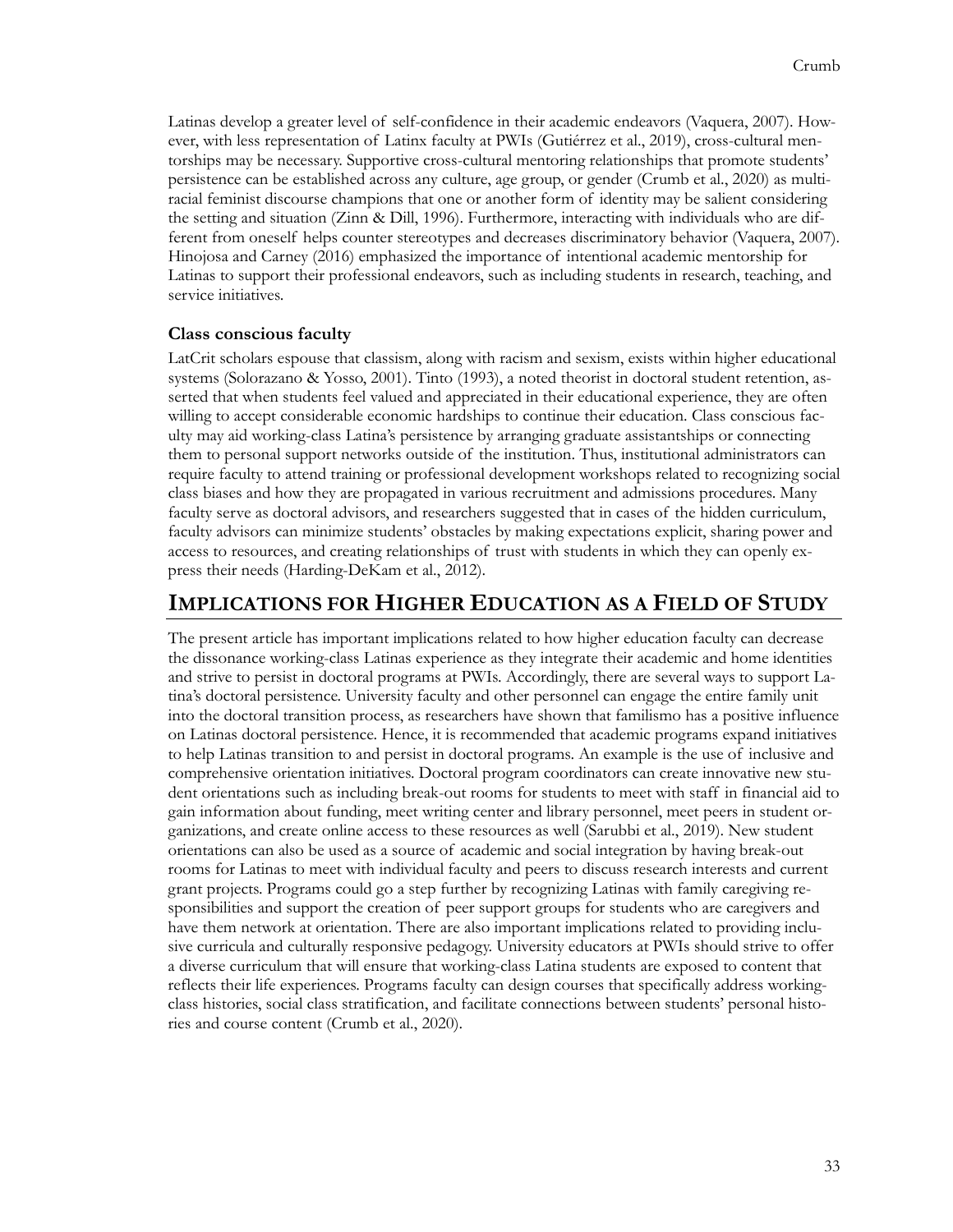Latinas develop a greater level of self-confidence in their academic endeavors (Vaquera, 2007). However, with less representation of Latinx faculty at PWIs (Gutiérrez et al., 2019), cross-cultural mentorships may be necessary. Supportive cross-cultural mentoring relationships that promote students' persistence can be established across any culture, age group, or gender (Crumb et al., 2020) as multiracial feminist discourse champions that one or another form of identity may be salient considering the setting and situation (Zinn & Dill, 1996). Furthermore, interacting with individuals who are different from oneself helps counter stereotypes and decreases discriminatory behavior (Vaquera, 2007). Hinojosa and Carney (2016) emphasized the importance of intentional academic mentorship for Latinas to support their professional endeavors, such as including students in research, teaching, and service initiatives.

#### **Class conscious faculty**

LatCrit scholars espouse that classism, along with racism and sexism, exists within higher educational systems (Solorazano & Yosso, 2001). Tinto (1993), a noted theorist in doctoral student retention, asserted that when students feel valued and appreciated in their educational experience, they are often willing to accept considerable economic hardships to continue their education. Class conscious faculty may aid working-class Latina's persistence by arranging graduate assistantships or connecting them to personal support networks outside of the institution. Thus, institutional administrators can require faculty to attend training or professional development workshops related to recognizing social class biases and how they are propagated in various recruitment and admissions procedures. Many faculty serve as doctoral advisors, and researchers suggested that in cases of the hidden curriculum, faculty advisors can minimize students' obstacles by making expectations explicit, sharing power and access to resources, and creating relationships of trust with students in which they can openly express their needs (Harding-DeKam et al., 2012).

### **IMPLICATIONS FOR HIGHER EDUCATION AS A FIELD OF STUDY**

The present article has important implications related to how higher education faculty can decrease the dissonance working-class Latinas experience as they integrate their academic and home identities and strive to persist in doctoral programs at PWIs. Accordingly, there are several ways to support Latina's doctoral persistence. University faculty and other personnel can engage the entire family unit into the doctoral transition process, as researchers have shown that familismo has a positive influence on Latinas doctoral persistence. Hence, it is recommended that academic programs expand initiatives to help Latinas transition to and persist in doctoral programs. An example is the use of inclusive and comprehensive orientation initiatives. Doctoral program coordinators can create innovative new student orientations such as including break-out rooms for students to meet with staff in financial aid to gain information about funding, meet writing center and library personnel, meet peers in student organizations, and create online access to these resources as well (Sarubbi et al., 2019). New student orientations can also be used as a source of academic and social integration by having break-out rooms for Latinas to meet with individual faculty and peers to discuss research interests and current grant projects. Programs could go a step further by recognizing Latinas with family caregiving responsibilities and support the creation of peer support groups for students who are caregivers and have them network at orientation. There are also important implications related to providing inclusive curricula and culturally responsive pedagogy. University educators at PWIs should strive to offer a diverse curriculum that will ensure that working-class Latina students are exposed to content that reflects their life experiences. Programs faculty can design courses that specifically address workingclass histories, social class stratification, and facilitate connections between students' personal histories and course content (Crumb et al., 2020).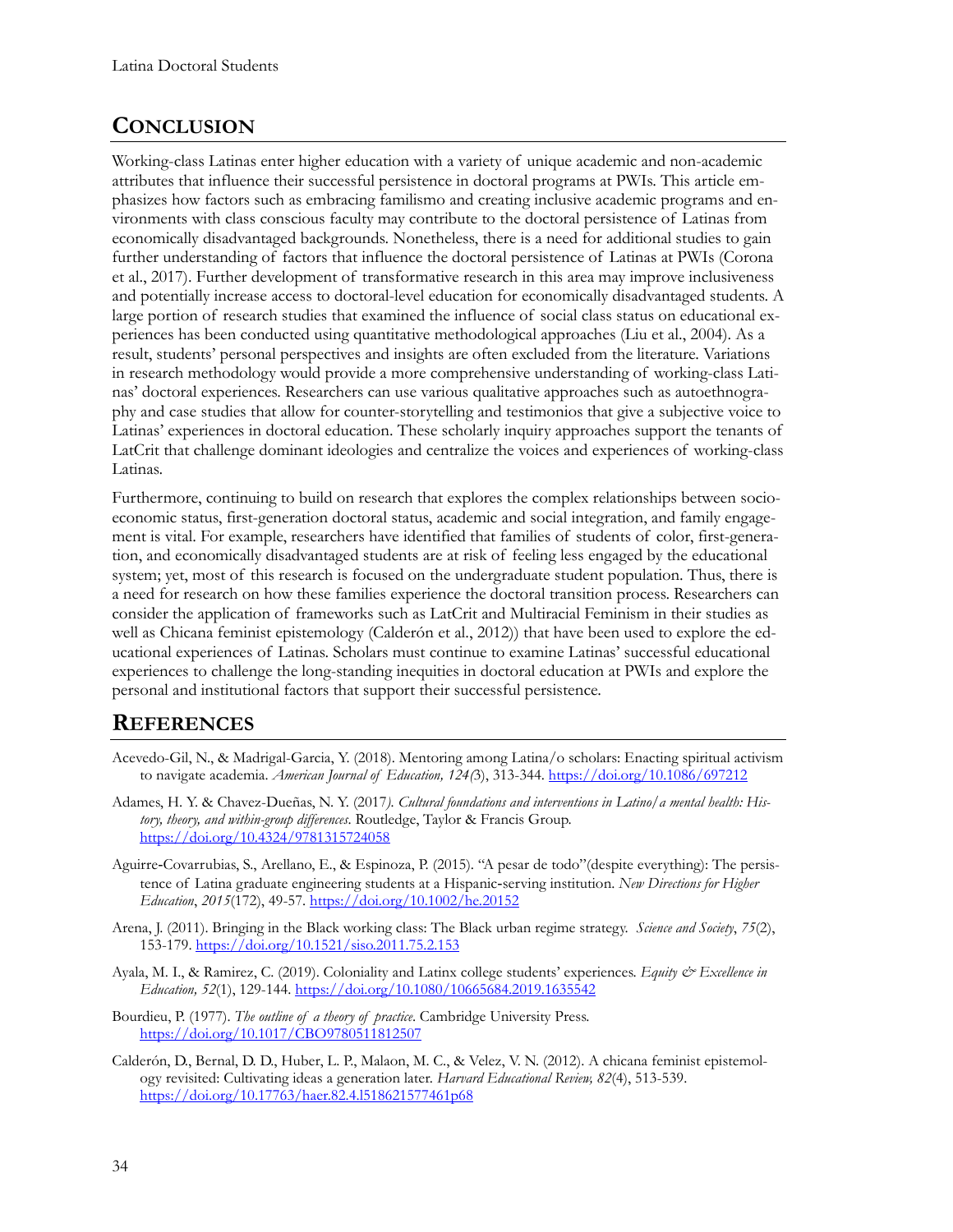## **CONCLUSION**

Working-class Latinas enter higher education with a variety of unique academic and non-academic attributes that influence their successful persistence in doctoral programs at PWIs. This article emphasizes how factors such as embracing familismo and creating inclusive academic programs and environments with class conscious faculty may contribute to the doctoral persistence of Latinas from economically disadvantaged backgrounds. Nonetheless, there is a need for additional studies to gain further understanding of factors that influence the doctoral persistence of Latinas at PWIs (Corona et al., 2017). Further development of transformative research in this area may improve inclusiveness and potentially increase access to doctoral-level education for economically disadvantaged students. A large portion of research studies that examined the influence of social class status on educational experiences has been conducted using quantitative methodological approaches (Liu et al., 2004). As a result, students' personal perspectives and insights are often excluded from the literature. Variations in research methodology would provide a more comprehensive understanding of working-class Latinas' doctoral experiences. Researchers can use various qualitative approaches such as autoethnography and case studies that allow for counter-storytelling and testimonios that give a subjective voice to Latinas' experiences in doctoral education. These scholarly inquiry approaches support the tenants of LatCrit that challenge dominant ideologies and centralize the voices and experiences of working-class Latinas.

Furthermore, continuing to build on research that explores the complex relationships between socioeconomic status, first-generation doctoral status, academic and social integration, and family engagement is vital. For example, researchers have identified that families of students of color, first-generation, and economically disadvantaged students are at risk of feeling less engaged by the educational system; yet, most of this research is focused on the undergraduate student population. Thus, there is a need for research on how these families experience the doctoral transition process. Researchers can consider the application of frameworks such as LatCrit and Multiracial Feminism in their studies as well as Chicana feminist epistemology (Calderón et al., 2012)) that have been used to explore the educational experiences of Latinas. Scholars must continue to examine Latinas' successful educational experiences to challenge the long-standing inequities in doctoral education at PWIs and explore the personal and institutional factors that support their successful persistence.

### **REFERENCES**

- Acevedo-Gil, N., & Madrigal-Garcia, Y. (2018). Mentoring among Latina/o scholars: Enacting spiritual activism to navigate academia. *American Journal of Education, 124(*3), 313-344. <https://doi.org/10.1086/697212>
- Adames, H. Y. & Chavez-Dueñas, N. Y. (2017*). Cultural foundations and interventions in Latino/a mental health: History, theory, and within-group differences*. Routledge, Taylor & Francis Group. <https://doi.org/10.4324/9781315724058>
- Aguirre‐Covarrubias, S., Arellano, E., & Espinoza, P. (2015). "A pesar de todo"(despite everything): The persistence of Latina graduate engineering students at a Hispanic‐serving institution. *New Directions for Higher Education*, *2015*(172), 49-57. <https://doi.org/10.1002/he.20152>
- Arena, J. (2011). Bringing in the Black working class: The Black urban regime strategy. *Science and Society*, *75*(2), 153-179.<https://doi.org/10.1521/siso.2011.75.2.153>
- Ayala, M. I., & Ramirez, C. (2019). Coloniality and Latinx college students' experiences. *Equity & Excellence in Education, 52*(1), 129-144.<https://doi.org/10.1080/10665684.2019.1635542>
- Bourdieu, P. (1977). *The outline of a theory of practice*. Cambridge University Press. <https://doi.org/10.1017/CBO9780511812507>
- Calderón, D., Bernal, D. D., Huber, L. P., Malaon, M. C., & Velez, V. N. (2012). A chicana feminist epistemology revisited: Cultivating ideas a generation later. *Harvard Educational Review, 82*(4), 513-539. <https://doi.org/10.17763/haer.82.4.l518621577461p68>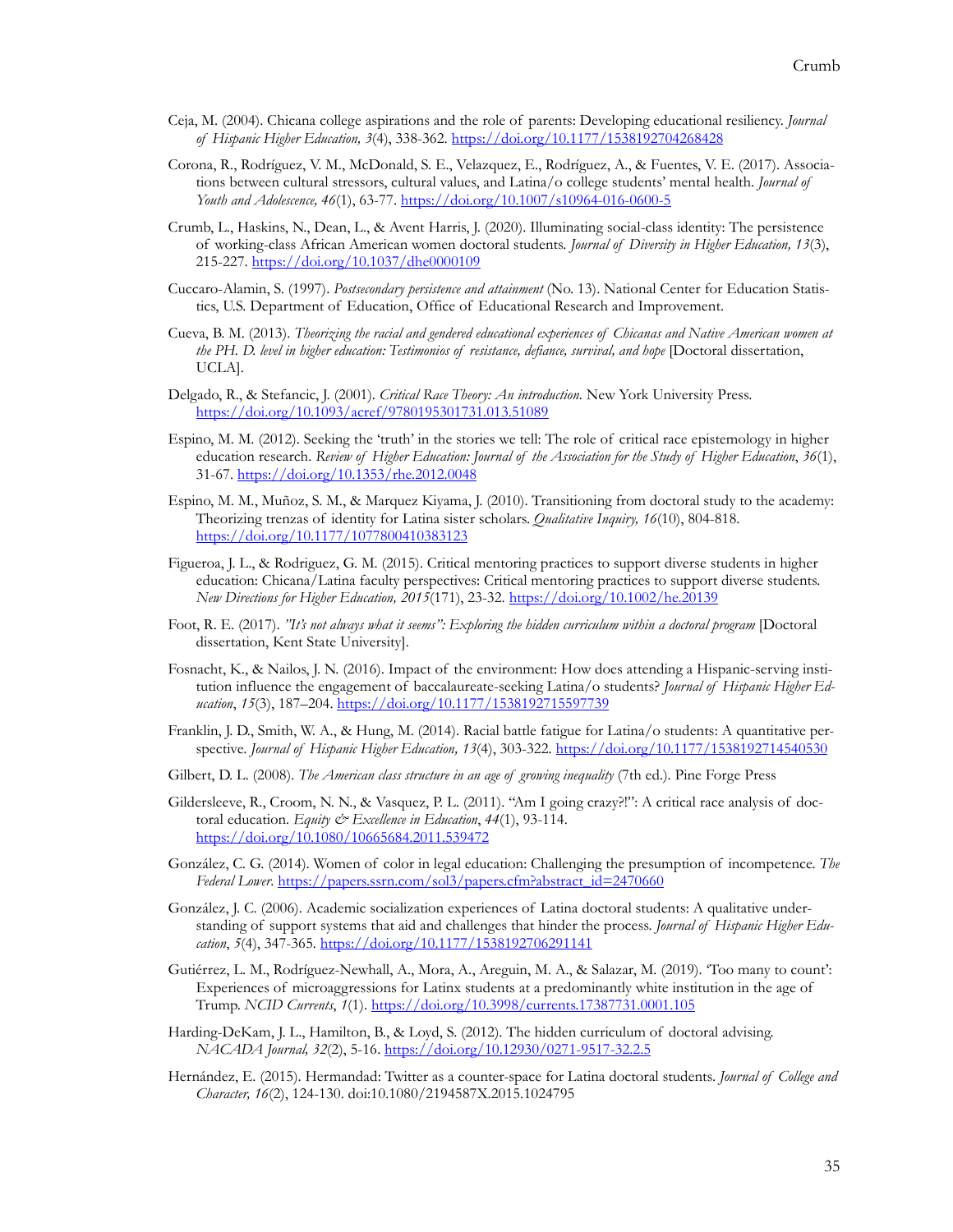- Ceja, M. (2004). Chicana college aspirations and the role of parents: Developing educational resiliency. *Journal of Hispanic Higher Education, 3*(4), 338-362.<https://doi.org/10.1177/1538192704268428>
- Corona, R., Rodríguez, V. M., McDonald, S. E., Velazquez, E., Rodríguez, A., & Fuentes, V. E. (2017). Associations between cultural stressors, cultural values, and Latina/o college students' mental health. *Journal of Youth and Adolescence, 46*(1), 63-77. [https://doi.org/10.1007/s10964](https://doi.org/10.1007/s10964-016-0600-5)-016-0600-5
- Crumb, L., Haskins, N., Dean, L., & Avent Harris, J. (2020). Illuminating social-class identity: The persistence of working-class African American women doctoral students. *Journal of Diversity in Higher Education, 13*(3), 215-227. <https://doi.org/10.1037/dhe0000109>
- Cuccaro-Alamin, S. (1997). *Postsecondary persistence and attainment* (No. 13). National Center for Education Statistics, U.S. Department of Education, Office of Educational Research and Improvement.
- Cueva, B. M. (2013). *Theorizing the racial and gendered educational experiences of Chicanas and Native American women at the PH. D. level in higher education: Testimonios of resistance, defiance, survival, and hope* [Doctoral dissertation, UCLA].
- Delgado, R., & Stefancic, J. (2001). *Critical Race Theory: An introduction.* New York University Press. <https://doi.org/10.1093/acref/9780195301731.013.51089>
- Espino, M. M. (2012). Seeking the 'truth' in the stories we tell: The role of critical race epistemology in higher education research. *Review of Higher Education: Journal of the Association for the Study of Higher Education*, *36*(1), 31-67. http[s://doi.org/10.1353/rhe.2012.0048](https://doi.org/10.1353/rhe.2012.0048)
- Espino, M. M., Muñoz, S. M., & Marquez Kiyama, J. (2010). Transitioning from doctoral study to the academy: Theorizing trenzas of identity for Latina sister scholars. *Qualitative Inquiry, 16*(10), 804-818. <https://doi.org/10.1177/1077800410383123>
- Figueroa, J. L., & Rodriguez, G. M. (2015). Critical mentoring practices to support diverse students in higher education: Chicana/Latina faculty perspectives: Critical mentoring practices to support diverse students. *New Directions for Higher Education, 2015*(171), 23-32. <https://doi.org/10.1002/he.20139>
- Foot, R. E. (2017). *"It's not always what it seems": Exploring the hidden curriculum within a doctoral program* [Doctoral dissertation, Kent State University].
- Fosnacht, K., & Nailos, J. N. (2016). Impact of the environment: How does attending a Hispanic-serving institution influence the engagement of baccalaureate-seeking Latina/o students? *Journal of Hispanic Higher Education*, *15*(3), 187–204. <https://doi.org/10.1177/1538192715597739>
- Franklin, J. D., Smith, W. A., & Hung, M. (2014). Racial battle fatigue for Latina/o students: A quantitative perspective. *Journal of Hispanic Higher Education, 13*(4), 303-322. <https://doi.org/10.1177/1538192714540530>
- Gilbert, D. L. (2008). *The American class structure in an age of growing inequality* (7th ed.). Pine Forge Press
- Gildersleeve, R., Croom, N. N., & Vasquez, P. L. (2011). "Am I going crazy?!": A critical race analysis of doctoral education. *Equity & Excellence in Education*, *44*(1), 93-114. <https://doi.org/10.1080/10665684.2011.539472>
- González, C. G. (2014). Women of color in legal education: Challenging the presumption of incompetence. *The Federal Lower*. [https://papers.ssrn.com/sol3/papers.cfm?abstract\\_id=2470660](https://papers.ssrn.com/sol3/papers.cfm?abstract_id=2470660)
- González, J. C. (2006). Academic socialization experiences of Latina doctoral students: A qualitative understanding of support systems that aid and challenges that hinder the process. *Journal of Hispanic Higher Education*, *5*(4), 347-365.<https://doi.org/10.1177/1538192706291141>
- Gutiérrez, L. M., Rodríguez-Newhall, A., Mora, A., Areguin, M. A., & Salazar, M. (2019). 'Too many to count': Experiences of microaggressions for Latinx students at a predominantly white institution in the age of Trump. *NCID Currents*, *1*(1). <https://doi.org/10.3998/currents.17387731.0001.105>
- Harding-DeKam, J. L., Hamilton, B., & Loyd, S. (2012). The hidden curriculum of doctoral advising. *NACADA Journal, 32*(2), 5-16. [https://doi.org/10.12930/0271](https://doi.org/10.12930/0271-9517-32.2.5)-9517-32.2.5
- Hernández, E. (2015). Hermandad: Twitter as a counter-space for Latina doctoral students. *Journal of College and Character, 16*(2), 124-130. doi:10.1080/2194587X.2015.1024795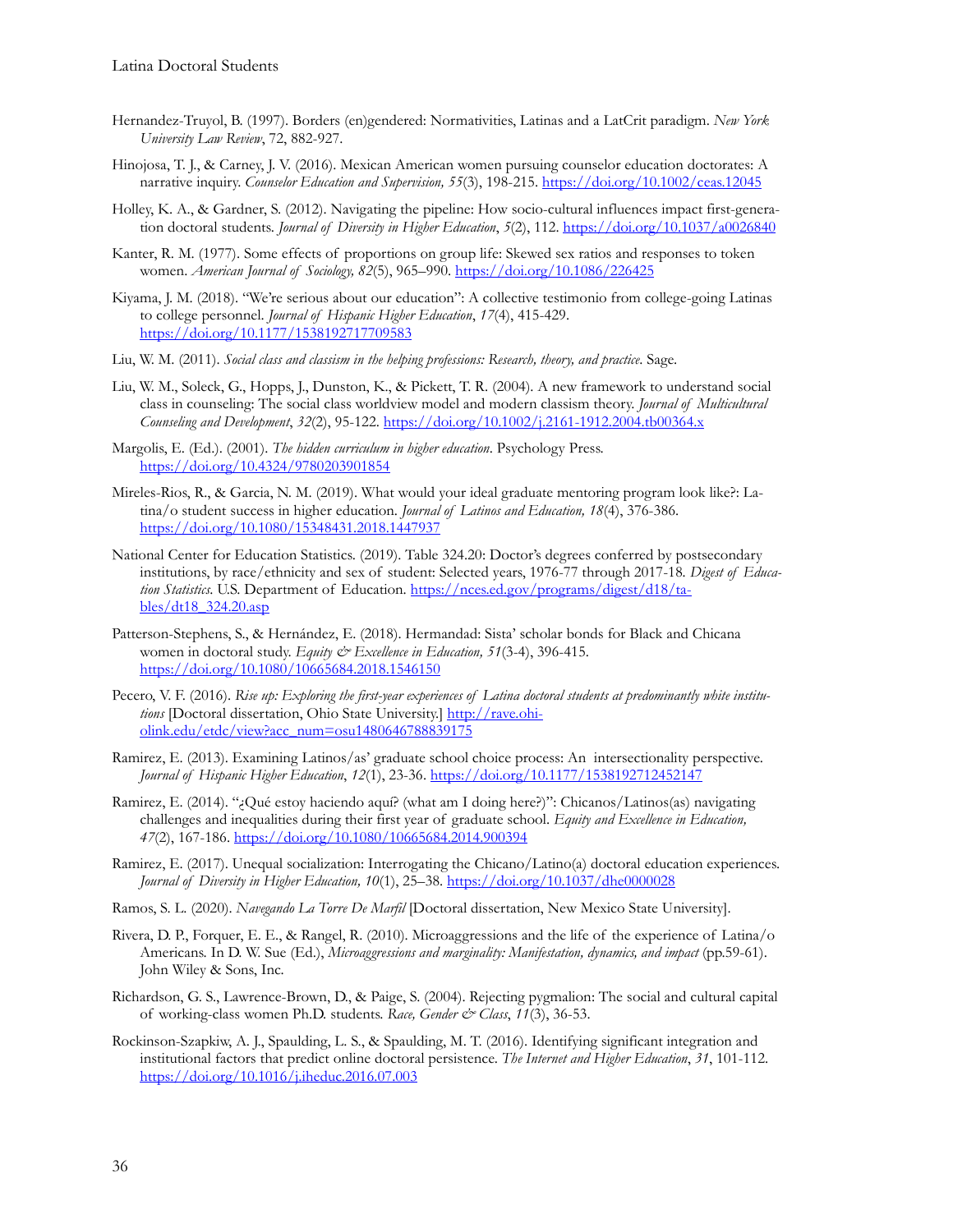- Hernandez-Truyol, B. (1997). Borders (en)gendered: Normativities, Latinas and a LatCrit paradigm. *New York University Law Review*, 72, 882-927.
- Hinojosa, T. J., & Carney, J. V. (2016). Mexican American women pursuing counselor education doctorates: A narrative inquiry. *Counselor Education and Supervision, 55*(3), 198-215. <https://doi.org/10.1002/ceas.12045>
- Holley, K. A., & Gardner, S. (2012). Navigating the pipeline: How socio-cultural influences impact first-generation doctoral students. *Journal of Diversity in Higher Education*, *5*(2), 112. <https://doi.org/10.1037/a0026840>
- Kanter, R. M. (1977). Some effects of proportions on group life: Skewed sex ratios and responses to token women. *American Journal of Sociology, 82*(5), 965–990[. https://doi.org/10.1086/226425](https://doi.org/10.1086/226425)
- Kiyama, J. M. (2018). "We're serious about our education": A collective testimonio from college-going Latinas to college personnel. *Journal of Hispanic Higher Education*, *17*(4), 415-429. <https://doi.org/10.1177/1538192717709583>
- Liu, W. M. (2011). *Social class and classism in the helping professions: Research, theory, and practice*. Sage.
- Liu, W. M., Soleck, G., Hopps, J., Dunston, K., & Pickett, T. R. (2004). A new framework to understand social class in counseling: The social class worldview model and modern classism theory. *Journal of Multicultural Counseling and Development*, *32*(2), 95-122. [https://doi.org/10.1002/j.2161](https://doi.org/10.1002/j.2161-1912.2004.tb00364.x)-1912.2004.tb00364.x
- Margolis, E. (Ed.). (2001). *The hidden curriculum in higher education*. Psychology Press. <https://doi.org/10.4324/9780203901854>
- Mireles-Rios, R., & Garcia, N. M. (2019). What would your ideal graduate mentoring program look like?: Latina/o student success in higher education. *Journal of Latinos and Education, 18*(4), 376-386. <https://doi.org/10.1080/15348431.2018.1447937>
- National Center for Education Statistics. (2019). Table 324.20: Doctor's degrees conferred by postsecondary institutions, by race/ethnicity and sex of student: Selected years, 1976-77 through 2017-18*. Digest of Education Statistics*. U.S. Department of Education. [https://nces.ed.gov/programs/digest/d18/ta](https://nces.ed.gov/programs/digest/d18/tables/dt18_324.20.asp)[bles/dt18\\_324.20.asp](https://nces.ed.gov/programs/digest/d18/tables/dt18_324.20.asp)
- Patterson-Stephens, S., & Hernández, E. (2018). Hermandad: Sista' scholar bonds for Black and Chicana women in doctoral study. *Equity & Excellence in Education, 51*(3-4), 396-415. <https://doi.org/10.1080/10665684.2018.1546150>
- Pecero, V. F. (2016). *Rise up: Exploring the first-year experiences of Latina doctoral students at predominantly white institutions* [Doctoral dissertation, Ohio State University.] [http://rave.ohi](http://rave.ohiolink.edu/etdc/view?acc_num=osu1480646788839175)[olink.edu/etdc/view?acc\\_num=osu1480646788839175](http://rave.ohiolink.edu/etdc/view?acc_num=osu1480646788839175)
- Ramirez, E. (2013). Examining Latinos/as' graduate school choice process: An intersectionality perspective. *Journal of Hispanic Higher Education*, *12*(1), 23-36[. https://doi.org/10.1177/1538192712452147](https://doi.org/10.1177/1538192712452147)
- Ramirez, E. (2014). "¿Qué estoy haciendo aquí? (what am I doing here?)": Chicanos/Latinos(as) navigating challenges and inequalities during their first year of graduate school. *Equity and Excellence in Education, 47*(2), 167-186.<https://doi.org/10.1080/10665684.2014.900394>
- Ramirez, E. (2017). Unequal socialization: Interrogating the Chicano/Latino(a) doctoral education experiences. *Journal of Diversity in Higher Education, 10*(1), 25–38. <https://doi.org/10.1037/dhe0000028>
- Ramos, S. L. (2020). *Navegando La Torre De Marfil* [Doctoral dissertation, New Mexico State University].
- Rivera, D. P., Forquer, E. E., & Rangel, R. (2010). Microaggressions and the life of the experience of Latina/o Americans. In D. W. Sue (Ed.), *Microaggressions and marginality: Manifestation, dynamics, and impact* (pp.59-61). John Wiley & Sons, Inc.
- Richardson, G. S., Lawrence-Brown, D., & Paige, S. (2004). Rejecting pygmalion: The social and cultural capital of working-class women Ph.D. students. *Race, Gender & Class*, *11*(3), 36-53.
- Rockinson-Szapkiw, A. J., Spaulding, L. S., & Spaulding, M. T. (2016). Identifying significant integration and institutional factors that predict online doctoral persistence. *The Internet and Higher Education*, *31*, 101-112. <https://doi.org/10.1016/j.iheduc.2016.07.003>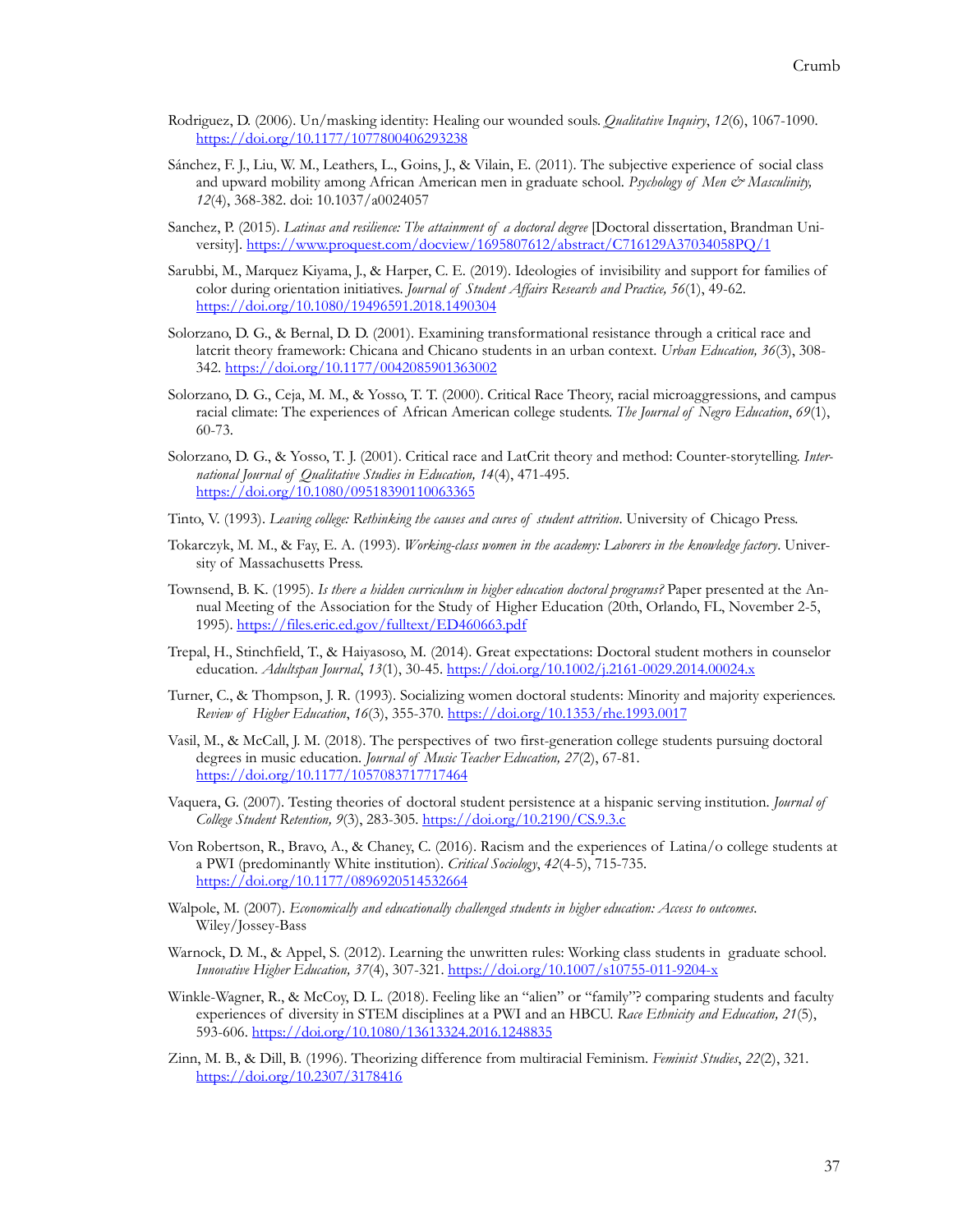- Rodriguez, D. (2006). Un/masking identity: Healing our wounded souls. *Qualitative Inquiry*, *12*(6), 1067-1090. <https://doi.org/10.1177/1077800406293238>
- Sánchez, F. J., Liu, W. M., Leathers, L., Goins, J., & Vilain, E. (2011). The subjective experience of social class and upward mobility among African American men in graduate school. *Psychology of Men & Masculinity*, *12*(4), 368-382. doi: 10.1037/a0024057
- Sanchez, P. (2015). *Latinas and resilience: The attainment of a doctoral degree* [Doctoral dissertation, Brandman University]. <https://www.proquest.com/docview/1695807612/abstract/C716129A37034058PQ/1>
- Sarubbi, M., Marquez Kiyama, J., & Harper, C. E. (2019). Ideologies of invisibility and support for families of color during orientation initiatives. *Journal of Student Affairs Research and Practice, 56*(1), 49-62. <https://doi.org/10.1080/19496591.2018.1490304>
- Solorzano, D. G., & Bernal, D. D. (2001). Examining transformational resistance through a critical race and latcrit theory framework: Chicana and Chicano students in an urban context. *Urban Education, 36*(3), 308- 342[. https://doi.org/10.1177/0042085901363002](https://doi.org/10.1177/0042085901363002)
- Solorzano, D. G., Ceja, M. M., & Yosso, T. T. (2000). Critical Race Theory, racial microaggressions, and campus racial climate: The experiences of African American college students. *The Journal of Negro Education*, *69*(1), 60-73.
- Solorzano, D. G., & Yosso, T. J. (2001). Critical race and LatCrit theory and method: Counter-storytelling. *International Journal of Qualitative Studies in Education, 14*(4), 471-495. <https://doi.org/10.1080/09518390110063365>
- Tinto, V. (1993). *Leaving college: Rethinking the causes and cures of student attrition*. University of Chicago Press.
- Tokarczyk, M. M., & Fay, E. A. (1993). *Working-class women in the academy: Laborers in the knowledge factory*. University of Massachusetts Press.
- Townsend, B. K. (1995). *Is there a hidden curriculum in higher education doctoral programs?* Paper presented at the Annual Meeting of the Association for the Study of Higher Education (20th, Orlando, FL, November 2-5, 1995). <https://files.eric.ed.gov/fulltext/ED460663.pdf>
- Trepal, H., Stinchfield, T., & Haiyasoso, M. (2014). Great expectations: Doctoral student mothers in counselor education. *Adultspan Journal*, *13*(1), 30-45. [https://doi.org/10.1002/j.2161](https://doi.org/10.1002/j.2161-0029.2014.00024.x)-0029.2014.00024.x
- Turner, C., & Thompson, J. R. (1993). Socializing women doctoral students: Minority and majority experiences. *Review of Higher Education*, *16*(3), 355-370. <https://doi.org/10.1353/rhe.1993.0017>
- Vasil, M., & McCall, J. M. (2018). The perspectives of two first-generation college students pursuing doctoral degrees in music education. *Journal of Music Teacher Education, 27*(2), 67-81. <https://doi.org/10.1177/1057083717717464>
- Vaquera, G. (2007). Testing theories of doctoral student persistence at a hispanic serving institution. *Journal of College Student Retention, 9*(3), 283-305. <https://doi.org/10.2190/CS.9.3.c>
- Von Robertson, R., Bravo, A., & Chaney, C. (2016). Racism and the experiences of Latina/o college students at a PWI (predominantly White institution). *Critical Sociology*, *42*(4-5), 715-735. <https://doi.org/10.1177/0896920514532664>
- Walpole, M. (2007). *Economically and educationally challenged students in higher education: Access to outcomes*. Wiley/Jossey-Bass
- Warnock, D. M., & Appel, S. (2012). Learning the unwritten rules: Working class students in graduate school. *Innovative Higher Education, 37*(4), 307-321. [https://doi.org/10.1007/s10755](https://doi.org/10.1007/s10755-011-9204-x)-011-9204-x
- Winkle-Wagner, R., & McCoy, D. L. (2018). Feeling like an "alien" or "family"? comparing students and faculty experiences of diversity in STEM disciplines at a PWI and an HBCU. *Race Ethnicity and Education, 21*(5), 593-606. <https://doi.org/10.1080/13613324.2016.1248835>
- Zinn, M. B., & Dill, B. (1996). Theorizing difference from multiracial Feminism. *Feminist Studies*, *22*(2), 321. <https://doi.org/10.2307/3178416>